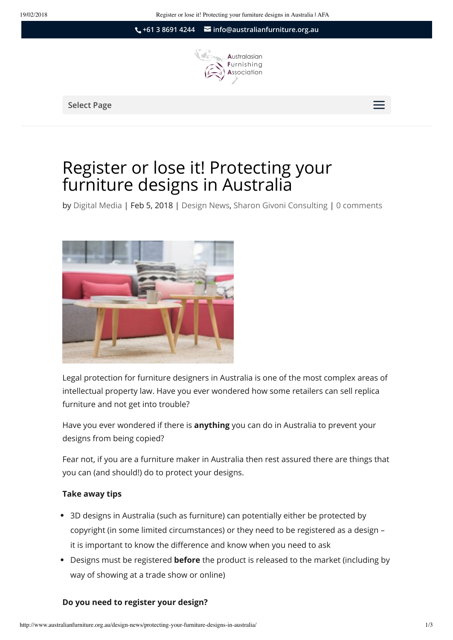**+61 3 8691 4244 [info@australianfurniture.org.au](mailto:info@australianfurniture.org.au)**



Select Page  $\equiv$ 

# Register or lose it! Protecting your furniture designs in Australia

by [Digital Media](http://www.australianfurniture.org.au/author/digitalmediaaustralianfurniture-org-au/) | Feb 5, 2018 | [Design News,](http://www.australianfurniture.org.au/category/design-news/) [Sharon Givoni Consulting](http://www.australianfurniture.org.au/category/sharon-givoni/) | 0 comments



Legal protection for furniture designers in Australia is one of the most complex areas of intellectual property law. Have you ever wondered how some retailers can sell replica furniture and not get into trouble?

Have you ever wondered if there is **anything** you can do in Australia to prevent your designs from being copied?

Fear not, if you are a furniture maker in Australia then rest assured there are things that you can (and should!) do to protect your designs.

#### **Take away tips**

- 3D designs in Australia (such as furniture) can potentially either be protected by copyright (in some limited circumstances) or they need to be registered as a design – it is important to know the difference and know when you need to ask
- Designs must be registered **before** the product is released to the market (including by way of showing at a trade show or online)

#### **Do you need to register your design?**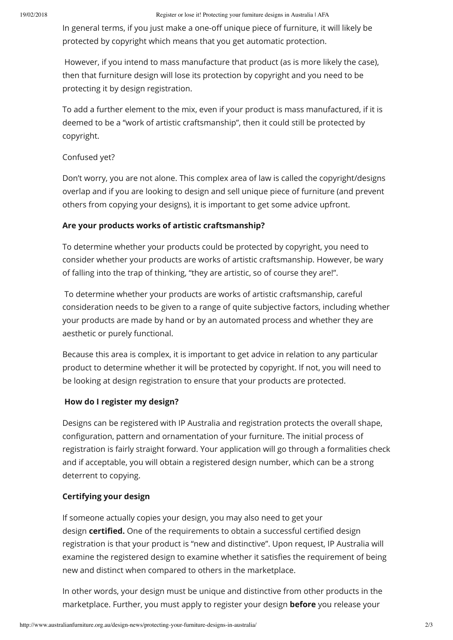In general terms, if you just make a one-off unique piece of furniture, it will likely be protected by copyright which means that you get automatic protection.

 However, if you intend to mass manufacture that product (as is more likely the case), then that furniture design will lose its protection by copyright and you need to be protecting it by design registration.

To add a further element to the mix, even if your product is mass manufactured, if it is deemed to be a "work of artistic craftsmanship", then it could still be protected by copyright.

## Confused yet?

Don't worry, you are not alone. This complex area of law is called the copyright/designs overlap and if you are looking to design and sell unique piece of furniture (and prevent others from copying your designs), it is important to get some advice upfront.

# **Are your products works of artistic craftsmanship?**

To determine whether your products could be protected by copyright, you need to consider whether your products are works of artistic craftsmanship. However, be wary of falling into the trap of thinking, "they are artistic, so of course they are!".

 To determine whether your products are works of artistic craftsmanship, careful consideration needs to be given to a range of quite subjective factors, including whether your products are made by hand or by an automated process and whether they are aesthetic or purely functional.

Because this area is complex, it is important to get advice in relation to any particular product to determine whether it will be protected by copyright. If not, you will need to be looking at design registration to ensure that your products are protected.

## **How do I register my design?**

Designs can be registered with IP Australia and registration protects the overall shape, configuration, pattern and ornamentation of your furniture. The initial process of registration is fairly straight forward. Your application will go through a formalities check and if acceptable, you will obtain a registered design number, which can be a strong deterrent to copying.

## **Certifying your design**

If someone actually copies your design, you may also need to get your design **certified.** One of the requirements to obtain a successful certified design registration is that your product is "new and distinctive". Upon request, IP Australia will examine the registered design to examine whether it satisfies the requirement of being new and distinct when compared to others in the marketplace.

In other words, your design must be unique and distinctive from other products in the marketplace. Further, you must apply to register your design **before** you release your